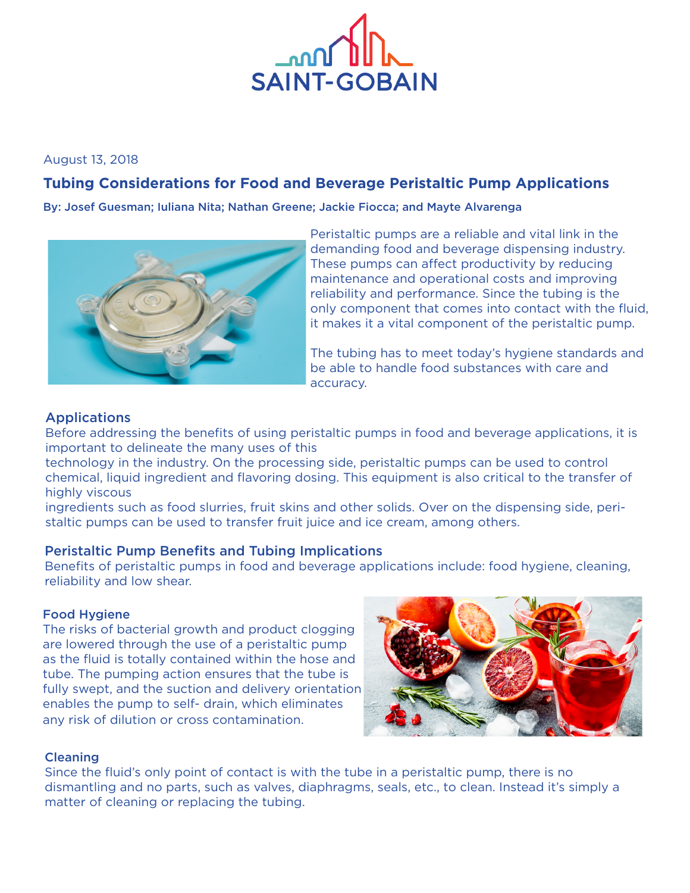

### August 13, 2018

# **Tubing Considerations for Food and Beverage Peristaltic Pump Applications**

By: Josef Guesman; Iuliana Nita; Nathan Greene; Jackie Fiocca; and Mayte Alvarenga



Peristaltic pumps are a reliable and vital link in the demanding food and beverage dispensing industry. These pumps can affect productivity by reducing maintenance and operational costs and improving reliability and performance. Since the tubing is the only component that comes into contact with the fluid, it makes it a vital component of the peristaltic pump.

The tubing has to meet today's hygiene standards and be able to handle food substances with care and accuracy.

## **Applications**

Before addressing the benefits of using peristaltic pumps in food and beverage applications, it is important to delineate the many uses of this

technology in the industry. On the processing side, peristaltic pumps can be used to control chemical, liquid ingredient and flavoring dosing. This equipment is also critical to the transfer of highly viscous

ingredients such as food slurries, fruit skins and other solids. Over on the dispensing side, peristaltic pumps can be used to transfer fruit juice and ice cream, among others.

### Peristaltic Pump Benefits and Tubing Implications

Benefits of peristaltic pumps in food and beverage applications include: food hygiene, cleaning, reliability and low shear.

### Food Hygiene

The risks of bacterial growth and product clogging are lowered through the use of a peristaltic pump as the fluid is totally contained within the hose and tube. The pumping action ensures that the tube is fully swept, and the suction and delivery orientation enables the pump to self- drain, which eliminates any risk of dilution or cross contamination.



### **Cleaning**

Since the fluid's only point of contact is with the tube in a peristaltic pump, there is no dismantling and no parts, such as valves, diaphragms, seals, etc., to clean. Instead it's simply a matter of cleaning or replacing the tubing.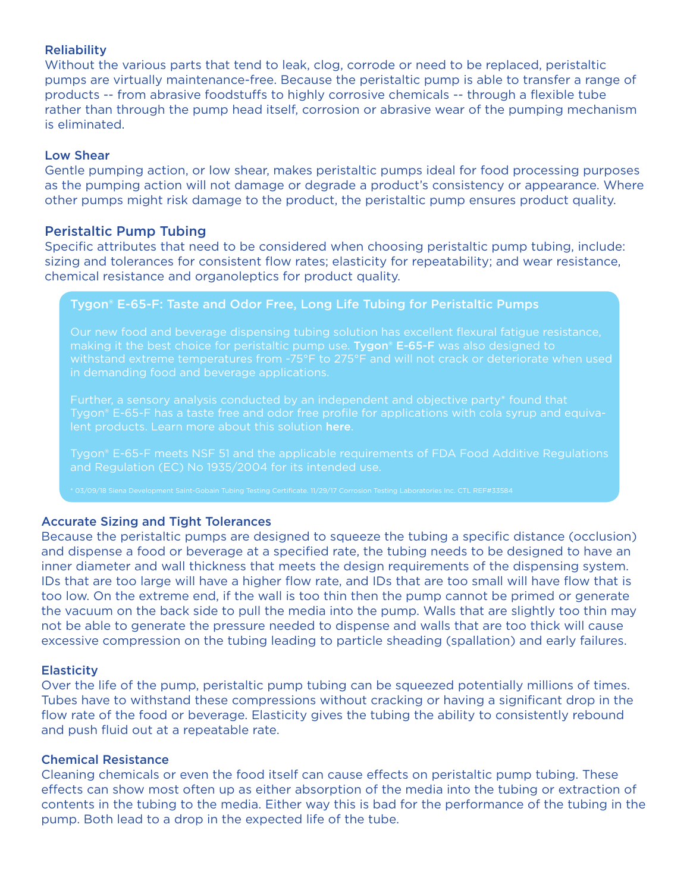### **Reliability**

Without the various parts that tend to leak, clog, corrode or need to be replaced, peristaltic pumps are virtually maintenance-free. Because the peristaltic pump is able to transfer a range of products -- from abrasive foodstuffs to highly corrosive chemicals -- through a flexible tube rather than through the pump head itself, corrosion or abrasive wear of the pumping mechanism is eliminated.

### Low Shear

Gentle pumping action, or low shear, makes peristaltic pumps ideal for food processing purposes as the pumping action will not damage or degrade a product's consistency or appearance. Where other pumps might risk damage to the product, the peristaltic pump ensures product quality.

### Peristaltic Pump Tubing

Specific attributes that need to be considered when choosing peristaltic pump tubing, include: sizing and tolerances for consistent flow rates; elasticity for repeatability; and wear resistance, chemical resistance and organoleptics for product quality.

### [Tygon® E-65-F:](https://www.processsystems.saint-gobain.com/products/tygon-e-65-f-food-and-beverage-dispensing-tubing) Taste and Odor Free, Long Life Tubing for Peristaltic Pumps

Our new food and beverage dispensing tubing solution has excellent flexural fatigue resistance, making it the best choice for peristaltic pump use. [Tygon® E-65-F](https://www.processsystems.saint-gobain.com/products/tygon-e-65-f-food-and-beverage-dispensing-tubing) was also designed to in demanding food and beverage applications.

Further, a sensory analysis conducted by an independent and objective party\* found that Tygon® E-65-F has a taste free and odor free profile for applications with cola syrup and equiva-

Tygon® E-65-F meets NSF 51 and the applicable requirements of FDA Food Additive Regulations and Regulation (EC) No 1935/2004 for its intended use.

### Accurate Sizing and Tight Tolerances

Because the peristaltic pumps are designed to squeeze the tubing a specific distance (occlusion) and dispense a food or beverage at a specified rate, the tubing needs to be designed to have an inner diameter and wall thickness that meets the design requirements of the dispensing system. IDs that are too large will have a higher flow rate, and IDs that are too small will have flow that is too low. On the extreme end, if the wall is too thin then the pump cannot be primed or generate the vacuum on the back side to pull the media into the pump. Walls that are slightly too thin may not be able to generate the pressure needed to dispense and walls that are too thick will cause excessive compression on the tubing leading to particle sheading (spallation) and early failures.

### **Elasticity**

Over the life of the pump, peristaltic pump tubing can be squeezed potentially millions of times. Tubes have to withstand these compressions without cracking or having a significant drop in the flow rate of the food or beverage. Elasticity gives the tubing the ability to consistently rebound and push fluid out at a repeatable rate.

### Chemical Resistance

Cleaning chemicals or even the food itself can cause effects on peristaltic pump tubing. These effects can show most often up as either absorption of the media into the tubing or extraction of contents in the tubing to the media. Either way this is bad for the performance of the tubing in the pump. Both lead to a drop in the expected life of the tube.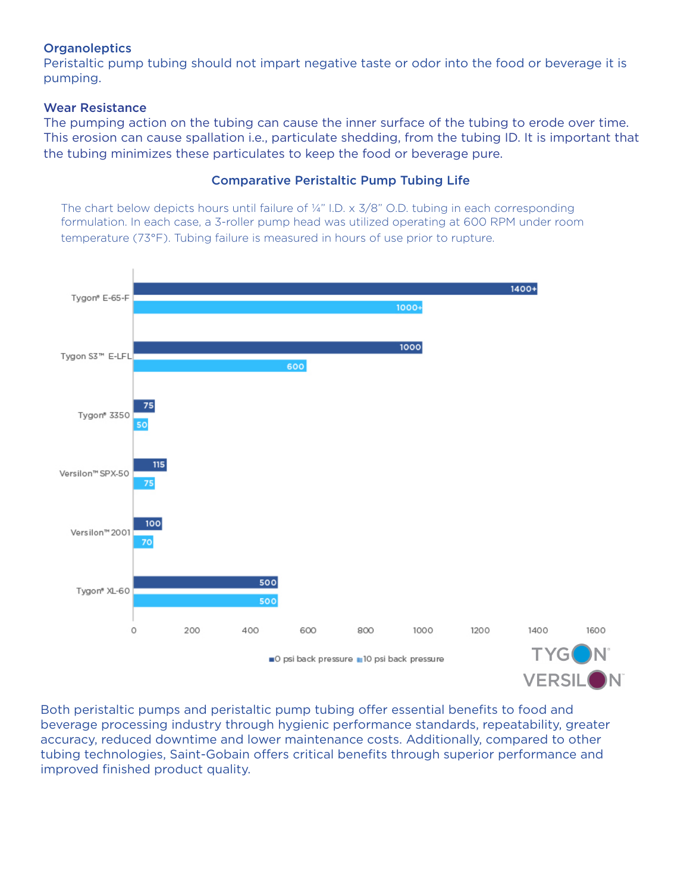### **Organoleptics**

Peristaltic pump tubing should not impart negative taste or odor into the food or beverage it is pumping.

### Wear Resistance

The pumping action on the tubing can cause the inner surface of the tubing to erode over time. This erosion can cause spallation i.e., particulate shedding, from the tubing ID. It is important that the tubing minimizes these particulates to keep the food or beverage pure.

### Comparative Peristaltic Pump Tubing Life

The chart below depicts hours until failure of  $\frac{1}{4}$ " I.D. x  $\frac{3}{8}$ " O.D. tubing in each corresponding formulation. In each case, a 3-roller pump head was utilized operating at 600 RPM under room temperature (73°F). Tubing failure is measured in hours of use prior to rupture.



Both peristaltic pumps and peristaltic pump tubing offer essential benefits to food and beverage processing industry through hygienic performance standards, repeatability, greater accuracy, reduced downtime and lower maintenance costs. Additionally, compared to other tubing technologies, Saint-Gobain offers critical benefits through superior performance and improved finished product quality.